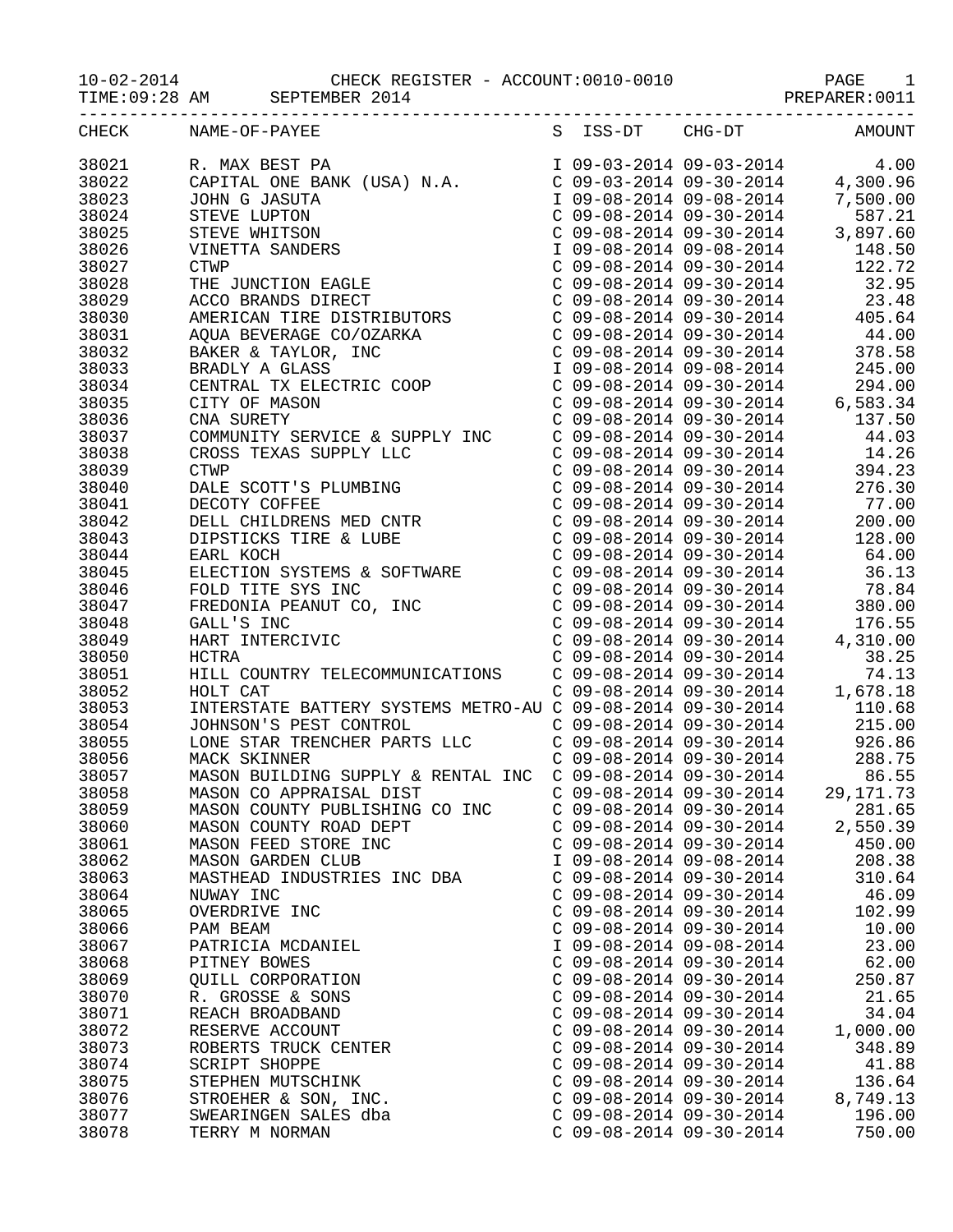|       | $10-02-2014$ CHECK REG<br>TIME:09:28 AM SEPTEMBER 2014<br>CHECK REGISTER - ACCOUNT:0010-0010 PAGE 1<br>1958 1972 PREPARER:0011                                                                                                                                                                                                                                                                                                                                             |                           |                        |
|-------|----------------------------------------------------------------------------------------------------------------------------------------------------------------------------------------------------------------------------------------------------------------------------------------------------------------------------------------------------------------------------------------------------------------------------------------------------------------------------|---------------------------|------------------------|
|       | CHECK NAME-OF-PAYEE<br>$\begin{tabular}{l c c c c} \multicolumn{1}{l}{\textbf{NAME-OP-PANEE}} & \multicolumn{1}{l}{S} & \multicolumn{1}{l}{158-DT} & \multicolumn{1}{l}{CHG-DT} & \multicolumn{1}{l}{MOMDWT} \\ \multicolumn{1}{l}{\textbf{R. MME-OP P PA} & \multicolumn{1}{l}{C} & \multicolumn{1}{l}{C} & \multicolumn{1}{l}{C} & \multicolumn{1}{l}{C} & \multicolumn{1}{l}{C} & \multicolumn{1}{l}{C} & \multicolumn{1}{l}{C} & \multicolumn{1}{l}{C} & \multicolumn$ |                           | S ISS-DT CHG-DT AMOUNT |
|       | 38021 R. MAX BEST PA                                                                                                                                                                                                                                                                                                                                                                                                                                                       |                           |                        |
| 38022 |                                                                                                                                                                                                                                                                                                                                                                                                                                                                            |                           |                        |
| 38023 |                                                                                                                                                                                                                                                                                                                                                                                                                                                                            |                           |                        |
| 38024 |                                                                                                                                                                                                                                                                                                                                                                                                                                                                            |                           |                        |
| 38025 |                                                                                                                                                                                                                                                                                                                                                                                                                                                                            |                           |                        |
| 38026 |                                                                                                                                                                                                                                                                                                                                                                                                                                                                            |                           |                        |
| 38027 |                                                                                                                                                                                                                                                                                                                                                                                                                                                                            |                           |                        |
| 38028 |                                                                                                                                                                                                                                                                                                                                                                                                                                                                            |                           |                        |
| 38029 |                                                                                                                                                                                                                                                                                                                                                                                                                                                                            |                           |                        |
| 38030 |                                                                                                                                                                                                                                                                                                                                                                                                                                                                            |                           |                        |
| 38031 |                                                                                                                                                                                                                                                                                                                                                                                                                                                                            |                           |                        |
| 38032 |                                                                                                                                                                                                                                                                                                                                                                                                                                                                            |                           |                        |
| 38033 |                                                                                                                                                                                                                                                                                                                                                                                                                                                                            |                           |                        |
| 38034 |                                                                                                                                                                                                                                                                                                                                                                                                                                                                            |                           |                        |
| 38035 |                                                                                                                                                                                                                                                                                                                                                                                                                                                                            |                           |                        |
| 38036 |                                                                                                                                                                                                                                                                                                                                                                                                                                                                            |                           |                        |
| 38037 |                                                                                                                                                                                                                                                                                                                                                                                                                                                                            |                           |                        |
|       |                                                                                                                                                                                                                                                                                                                                                                                                                                                                            |                           |                        |
| 38038 |                                                                                                                                                                                                                                                                                                                                                                                                                                                                            |                           |                        |
| 38039 |                                                                                                                                                                                                                                                                                                                                                                                                                                                                            |                           |                        |
| 38040 |                                                                                                                                                                                                                                                                                                                                                                                                                                                                            |                           |                        |
| 38041 |                                                                                                                                                                                                                                                                                                                                                                                                                                                                            |                           |                        |
| 38042 |                                                                                                                                                                                                                                                                                                                                                                                                                                                                            |                           |                        |
| 38043 |                                                                                                                                                                                                                                                                                                                                                                                                                                                                            |                           |                        |
| 38044 |                                                                                                                                                                                                                                                                                                                                                                                                                                                                            |                           |                        |
| 38045 |                                                                                                                                                                                                                                                                                                                                                                                                                                                                            |                           |                        |
| 38046 |                                                                                                                                                                                                                                                                                                                                                                                                                                                                            |                           |                        |
| 38047 |                                                                                                                                                                                                                                                                                                                                                                                                                                                                            |                           |                        |
| 38048 |                                                                                                                                                                                                                                                                                                                                                                                                                                                                            |                           |                        |
| 38049 |                                                                                                                                                                                                                                                                                                                                                                                                                                                                            |                           |                        |
| 38050 |                                                                                                                                                                                                                                                                                                                                                                                                                                                                            |                           |                        |
| 38051 |                                                                                                                                                                                                                                                                                                                                                                                                                                                                            |                           |                        |
| 38052 |                                                                                                                                                                                                                                                                                                                                                                                                                                                                            |                           |                        |
| 38053 | INTERSTATE BATTERY SYSTEMS METRO-AU C 09-08-2014 09-30-2014 110.68<br>JOHNSON'S PEST CONTROL C 09-08-2014 09-30-2014 215.00<br>LONE STAR TRENCHER PARTS LLC C 09-08-2014 09-30-2014 926.86<br>MACK SKINNER C 09-08-2014 09-30-2014 288.                                                                                                                                                                                                                                    |                           |                        |
| 38054 |                                                                                                                                                                                                                                                                                                                                                                                                                                                                            |                           |                        |
| 38055 |                                                                                                                                                                                                                                                                                                                                                                                                                                                                            |                           |                        |
| 38056 |                                                                                                                                                                                                                                                                                                                                                                                                                                                                            |                           |                        |
| 38057 | MASON BUILDING SUPPLY & RENTAL INC                                                                                                                                                                                                                                                                                                                                                                                                                                         | $C$ 09-08-2014 09-30-2014 | 86.55                  |
| 38058 | MASON CO APPRAISAL DIST                                                                                                                                                                                                                                                                                                                                                                                                                                                    | $C$ 09-08-2014 09-30-2014 | 29, 171.73             |
| 38059 | MASON COUNTY PUBLISHING CO INC                                                                                                                                                                                                                                                                                                                                                                                                                                             | $C$ 09-08-2014 09-30-2014 | 281.65                 |
| 38060 | MASON COUNTY ROAD DEPT                                                                                                                                                                                                                                                                                                                                                                                                                                                     | $C$ 09-08-2014 09-30-2014 | 2,550.39               |
| 38061 | MASON FEED STORE INC                                                                                                                                                                                                                                                                                                                                                                                                                                                       | $C$ 09-08-2014 09-30-2014 | 450.00                 |
| 38062 | MASON GARDEN CLUB                                                                                                                                                                                                                                                                                                                                                                                                                                                          | I 09-08-2014 09-08-2014   | 208.38                 |
| 38063 | MASTHEAD INDUSTRIES INC DBA                                                                                                                                                                                                                                                                                                                                                                                                                                                | $C$ 09-08-2014 09-30-2014 | 310.64                 |
| 38064 | NUWAY INC                                                                                                                                                                                                                                                                                                                                                                                                                                                                  | $C$ 09-08-2014 09-30-2014 | 46.09                  |
| 38065 | OVERDRIVE INC                                                                                                                                                                                                                                                                                                                                                                                                                                                              | $C$ 09-08-2014 09-30-2014 | 102.99                 |
| 38066 | PAM BEAM                                                                                                                                                                                                                                                                                                                                                                                                                                                                   | $C$ 09-08-2014 09-30-2014 | 10.00                  |
| 38067 | PATRICIA MCDANIEL                                                                                                                                                                                                                                                                                                                                                                                                                                                          | I 09-08-2014 09-08-2014   | 23.00                  |
| 38068 | PITNEY BOWES                                                                                                                                                                                                                                                                                                                                                                                                                                                               | $C$ 09-08-2014 09-30-2014 | 62.00                  |
| 38069 | QUILL CORPORATION                                                                                                                                                                                                                                                                                                                                                                                                                                                          | $C$ 09-08-2014 09-30-2014 | 250.87                 |
| 38070 | R. GROSSE & SONS                                                                                                                                                                                                                                                                                                                                                                                                                                                           | $C$ 09-08-2014 09-30-2014 | 21.65                  |
| 38071 | REACH BROADBAND                                                                                                                                                                                                                                                                                                                                                                                                                                                            | $C$ 09-08-2014 09-30-2014 | 34.04                  |
| 38072 | RESERVE ACCOUNT                                                                                                                                                                                                                                                                                                                                                                                                                                                            | $C$ 09-08-2014 09-30-2014 | 1,000.00               |
| 38073 | ROBERTS TRUCK CENTER                                                                                                                                                                                                                                                                                                                                                                                                                                                       | $C$ 09-08-2014 09-30-2014 | 348.89                 |
| 38074 | <b>SCRIPT SHOPPE</b>                                                                                                                                                                                                                                                                                                                                                                                                                                                       | $C$ 09-08-2014 09-30-2014 | 41.88                  |
| 38075 | STEPHEN MUTSCHINK                                                                                                                                                                                                                                                                                                                                                                                                                                                          | $C$ 09-08-2014 09-30-2014 | 136.64                 |
| 38076 | STROEHER & SON, INC.                                                                                                                                                                                                                                                                                                                                                                                                                                                       | $C$ 09-08-2014 09-30-2014 | 8,749.13               |
| 38077 | SWEARINGEN SALES dba                                                                                                                                                                                                                                                                                                                                                                                                                                                       | $C$ 09-08-2014 09-30-2014 | 196.00                 |

38078 TERRY M NORMAN C 09-08-2014 09-30-2014 750.00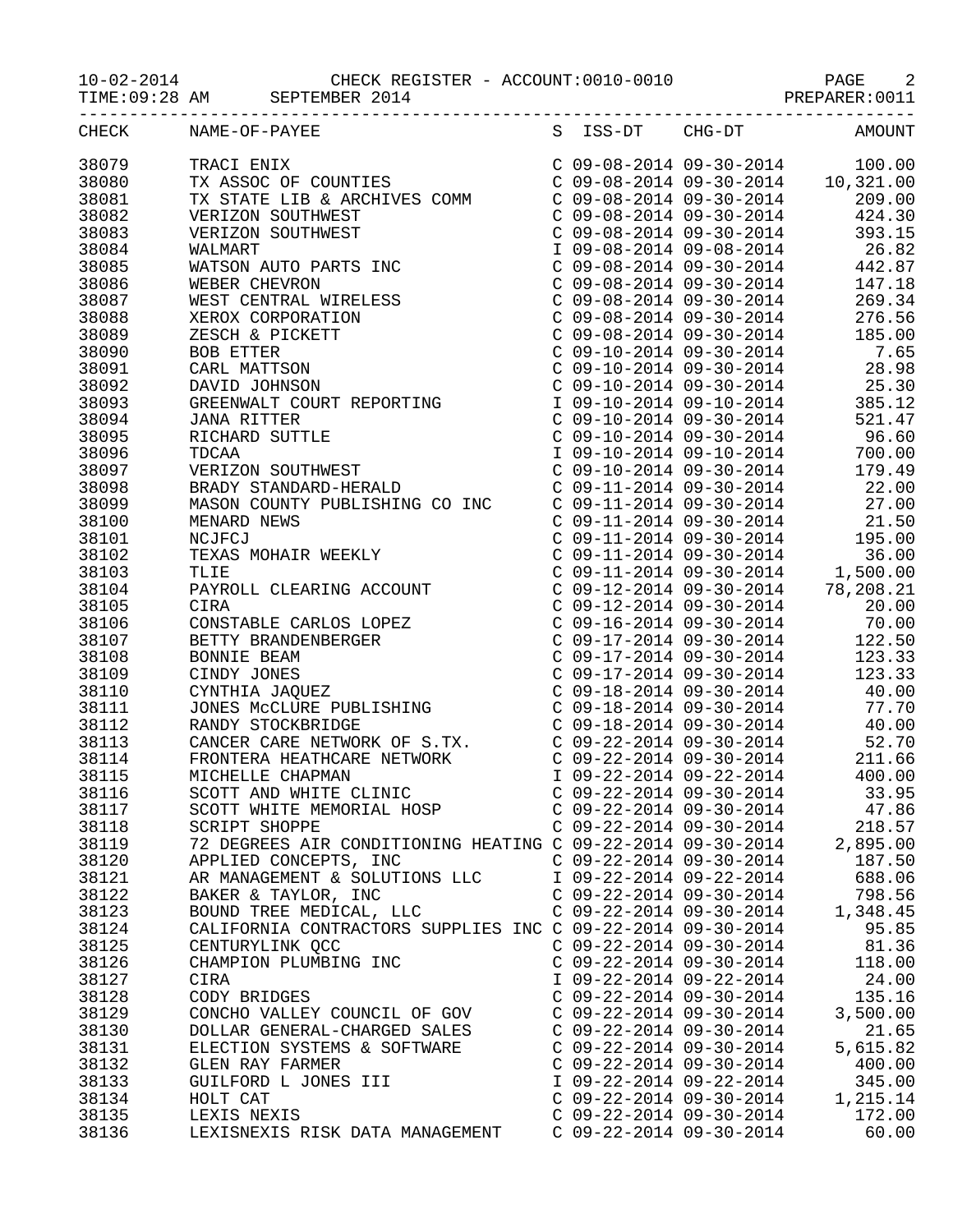10-02-2014 CHECK REGISTER - ACCOUNT:0010-0010 PAGE 2

|                |                      | TIME:09:28 AM SEPTEMBER 2014                                                                                                                                                                                                                                          |                                                        |                                                                                                                                                                                                                                                             |
|----------------|----------------------|-----------------------------------------------------------------------------------------------------------------------------------------------------------------------------------------------------------------------------------------------------------------------|--------------------------------------------------------|-------------------------------------------------------------------------------------------------------------------------------------------------------------------------------------------------------------------------------------------------------------|
| CHECK          |                      |                                                                                                                                                                                                                                                                       |                                                        |                                                                                                                                                                                                                                                             |
| 38079          |                      | NAME-OF-PAYEE<br>TRACI ENIX<br>TX ASSOC OF COUNTIES<br>TX STATE LIB & ARCHIVES COMM<br>VERIZON SOUTHWEST<br>VERIZON SOUTHWEST<br>WALMART<br>WATSON AUTO PARTS INC<br>WEBER CHEVRON<br>WEST CENTRAL WIRELESS<br>XEROX CORPORATION<br>ZESCH & PICKETT<br>BOB ETTER<br>D |                                                        |                                                                                                                                                                                                                                                             |
| 38080          |                      |                                                                                                                                                                                                                                                                       |                                                        |                                                                                                                                                                                                                                                             |
| 38081          |                      |                                                                                                                                                                                                                                                                       |                                                        |                                                                                                                                                                                                                                                             |
| 38082          |                      |                                                                                                                                                                                                                                                                       |                                                        |                                                                                                                                                                                                                                                             |
| 38083          |                      |                                                                                                                                                                                                                                                                       | $C$ 09-08-2014 09-30-2014                              | 393.15                                                                                                                                                                                                                                                      |
| 38084          |                      |                                                                                                                                                                                                                                                                       |                                                        |                                                                                                                                                                                                                                                             |
| 38085          |                      |                                                                                                                                                                                                                                                                       |                                                        | $\begin{tabular}{lllllllll} \texttt{I} & 09-08-2014 & 09-08-2014 & & 26.82 \\ \texttt{C} & 09-08-2014 & 09-30-2014 & & 442.87 \\ \texttt{C} & 09-08-2014 & 09-30-2014 & & 147.18 \\ \end{tabular}$                                                          |
| 38086          |                      |                                                                                                                                                                                                                                                                       |                                                        |                                                                                                                                                                                                                                                             |
| 38087          |                      |                                                                                                                                                                                                                                                                       |                                                        | $C$ 09-08-2014 09-30-2014 269.34                                                                                                                                                                                                                            |
| 38088          |                      |                                                                                                                                                                                                                                                                       | $C$ 09-08-2014 09-30-2014                              | 276.56                                                                                                                                                                                                                                                      |
| 38089          |                      |                                                                                                                                                                                                                                                                       | $C$ 09-08-2014 09-30-2014                              | 185.00                                                                                                                                                                                                                                                      |
| 38090          |                      |                                                                                                                                                                                                                                                                       |                                                        | $\begin{tabular}{lllllllll} $\texttt{C} & 09-10-2014 & 09-30-2014 & & & 7.65 \\ $\texttt{C} & 09-10-2014 & 09-30-2014 & & & 28.98 \\ $\texttt{C} & 09-10-2014 & 09-30-2014 & & & 25.30 \\ $\texttt{I} & 09-10-2014 & 09-10-2014 & & & 385.12 \end{tabular}$ |
| 38091          |                      |                                                                                                                                                                                                                                                                       |                                                        |                                                                                                                                                                                                                                                             |
| 38092          |                      |                                                                                                                                                                                                                                                                       |                                                        |                                                                                                                                                                                                                                                             |
| 38093          |                      |                                                                                                                                                                                                                                                                       |                                                        |                                                                                                                                                                                                                                                             |
| 38094          |                      |                                                                                                                                                                                                                                                                       |                                                        | C $09-10-2014$ $09-30-2014$ 521.47                                                                                                                                                                                                                          |
| 38095          |                      |                                                                                                                                                                                                                                                                       |                                                        |                                                                                                                                                                                                                                                             |
| 38096          |                      |                                                                                                                                                                                                                                                                       |                                                        |                                                                                                                                                                                                                                                             |
| 38097          |                      |                                                                                                                                                                                                                                                                       |                                                        |                                                                                                                                                                                                                                                             |
| 38098          |                      |                                                                                                                                                                                                                                                                       |                                                        |                                                                                                                                                                                                                                                             |
| 38099          |                      | MASON COUNTY PUBLISHING CO INC                                                                                                                                                                                                                                        |                                                        | $C$ 09-11-2014 09-30-2014 27.00                                                                                                                                                                                                                             |
| 38100          |                      |                                                                                                                                                                                                                                                                       |                                                        |                                                                                                                                                                                                                                                             |
| 38101          | NCJFCJ               |                                                                                                                                                                                                                                                                       |                                                        |                                                                                                                                                                                                                                                             |
| 38102          |                      | MENARD NEWS<br>NCJFCJ<br>TEXAS MOHAIR WEEKLY<br>TLIE                                                                                                                                                                                                                  |                                                        | $\left( \begin{array}{ccc} \text{C} & 09-11-2014 & 09-30-2014 & 21.50 \\ \text{C} & 09-11-2014 & 09-30-2014 & 195.00 \\ \text{C} & 09-11-2014 & 09-30-2014 & 36.00 \\ \text{C} & 09-11-2014 & 09-30-2014 & 1,500.00 \end{array} \right)$                    |
| 38103          | TLIE                 |                                                                                                                                                                                                                                                                       |                                                        |                                                                                                                                                                                                                                                             |
| 38104          |                      |                                                                                                                                                                                                                                                                       |                                                        | $C$ 09-12-2014 09-30-2014 78,208.21                                                                                                                                                                                                                         |
| 38105          |                      |                                                                                                                                                                                                                                                                       |                                                        |                                                                                                                                                                                                                                                             |
| 38106          |                      | TLIE<br>PAYROLL CLEARING ACCOUNT<br>CIRA<br>CONSTABLE CARLOS LOPEZ<br>BETTY BRANDENBERGER<br>BONNIE BEAM<br>CINDY JONES<br>CYNTHIA JAQUEZ<br>JONES MCCLURE PUBLISHING<br>RANDY STOCKBRIDGE<br>CANCER CARE NETWORK OF S.TX.<br>FRONTERA HEATHCARE NET                  |                                                        | C 09-12-2014 09-30-2014 20.00<br>C 09-16-2014 09-30-2014 70.00<br>C 09-17-2014 09-30-2014 122.50<br>C 09-17-2014 09-30-2014 123.33                                                                                                                          |
| 38107          |                      |                                                                                                                                                                                                                                                                       |                                                        |                                                                                                                                                                                                                                                             |
| 38108          |                      |                                                                                                                                                                                                                                                                       |                                                        |                                                                                                                                                                                                                                                             |
| 38109          |                      |                                                                                                                                                                                                                                                                       | $C$ 09-17-2014 09-30-2014                              | 123.33                                                                                                                                                                                                                                                      |
| 38110          |                      |                                                                                                                                                                                                                                                                       |                                                        | $C$ 09-18-2014 09-30-2014 40.00                                                                                                                                                                                                                             |
| 38111          |                      |                                                                                                                                                                                                                                                                       |                                                        |                                                                                                                                                                                                                                                             |
| 38112          |                      |                                                                                                                                                                                                                                                                       |                                                        | C 09-18-2014 09-30-2014 77.70<br>C 09-18-2014 09-30-2014 40.00<br>C 09-22-2014 09-30-2014 52.70<br>C 09-22-2014 09-30-2014 211.66                                                                                                                           |
| 38113          |                      |                                                                                                                                                                                                                                                                       |                                                        |                                                                                                                                                                                                                                                             |
| 38114          |                      |                                                                                                                                                                                                                                                                       |                                                        |                                                                                                                                                                                                                                                             |
| 38115          |                      |                                                                                                                                                                                                                                                                       | I 09-22-2014 09-22-2014                                | 400.00                                                                                                                                                                                                                                                      |
| 38116          |                      | SCOTT AND WHITE CLINIC                                                                                                                                                                                                                                                | $C$ 09-22-2014 09-30-2014                              | 33.95                                                                                                                                                                                                                                                       |
| 38117          |                      | SCOTT WHITE MEMORIAL HOSP                                                                                                                                                                                                                                             | $C$ 09-22-2014 09-30-2014                              | 47.86                                                                                                                                                                                                                                                       |
| 38118          | <b>SCRIPT SHOPPE</b> |                                                                                                                                                                                                                                                                       | $C$ 09-22-2014 09-30-2014                              | 218.57                                                                                                                                                                                                                                                      |
| 38119          |                      | 72 DEGREES AIR CONDITIONING HEATING C 09-22-2014 09-30-2014                                                                                                                                                                                                           |                                                        | 2,895.00                                                                                                                                                                                                                                                    |
| 38120          |                      | APPLIED CONCEPTS, INC                                                                                                                                                                                                                                                 | $C$ 09-22-2014 09-30-2014                              | 187.50                                                                                                                                                                                                                                                      |
| 38121          |                      | AR MANAGEMENT & SOLUTIONS LLC                                                                                                                                                                                                                                         | I 09-22-2014 09-22-2014                                | 688.06                                                                                                                                                                                                                                                      |
| 38122          |                      | BAKER & TAYLOR, INC                                                                                                                                                                                                                                                   | $C$ 09-22-2014 09-30-2014                              | 798.56                                                                                                                                                                                                                                                      |
| 38123          |                      | BOUND TREE MEDICAL, LLC                                                                                                                                                                                                                                               | $C$ 09-22-2014 09-30-2014                              | 1,348.45                                                                                                                                                                                                                                                    |
| 38124          |                      | CALIFORNIA CONTRACTORS SUPPLIES INC C 09-22-2014 09-30-2014                                                                                                                                                                                                           |                                                        | 95.85                                                                                                                                                                                                                                                       |
| 38125<br>38126 |                      | CENTURYLINK QCC                                                                                                                                                                                                                                                       | $C$ 09-22-2014 09-30-2014<br>$C$ 09-22-2014 09-30-2014 | 81.36<br>118.00                                                                                                                                                                                                                                             |
| 38127          | CIRA                 | CHAMPION PLUMBING INC                                                                                                                                                                                                                                                 | I 09-22-2014 09-22-2014                                | 24.00                                                                                                                                                                                                                                                       |
| 38128          | CODY BRIDGES         |                                                                                                                                                                                                                                                                       | $C$ 09-22-2014 09-30-2014                              | 135.16                                                                                                                                                                                                                                                      |
| 38129          |                      | CONCHO VALLEY COUNCIL OF GOV                                                                                                                                                                                                                                          | $C$ 09-22-2014 09-30-2014                              | 3,500.00                                                                                                                                                                                                                                                    |
| 38130          |                      | DOLLAR GENERAL-CHARGED SALES                                                                                                                                                                                                                                          | $C$ 09-22-2014 09-30-2014                              | 21.65                                                                                                                                                                                                                                                       |
| 38131          |                      | ELECTION SYSTEMS & SOFTWARE                                                                                                                                                                                                                                           | $C$ 09-22-2014 09-30-2014                              | 5,615.82                                                                                                                                                                                                                                                    |
| 38132          |                      | GLEN RAY FARMER                                                                                                                                                                                                                                                       | $C$ 09-22-2014 09-30-2014                              | 400.00                                                                                                                                                                                                                                                      |
| 38133          |                      | GUILFORD L JONES III                                                                                                                                                                                                                                                  | I 09-22-2014 09-22-2014                                | 345.00                                                                                                                                                                                                                                                      |
| 38134          | HOLT CAT             |                                                                                                                                                                                                                                                                       | $C$ 09-22-2014 09-30-2014                              | 1,215.14                                                                                                                                                                                                                                                    |
| 38135          | LEXIS NEXIS          |                                                                                                                                                                                                                                                                       | $C$ 09-22-2014 09-30-2014                              | 172.00                                                                                                                                                                                                                                                      |
| 38136          |                      | LEXISNEXIS RISK DATA MANAGEMENT                                                                                                                                                                                                                                       | $C$ 09-22-2014 09-30-2014                              | 60.00                                                                                                                                                                                                                                                       |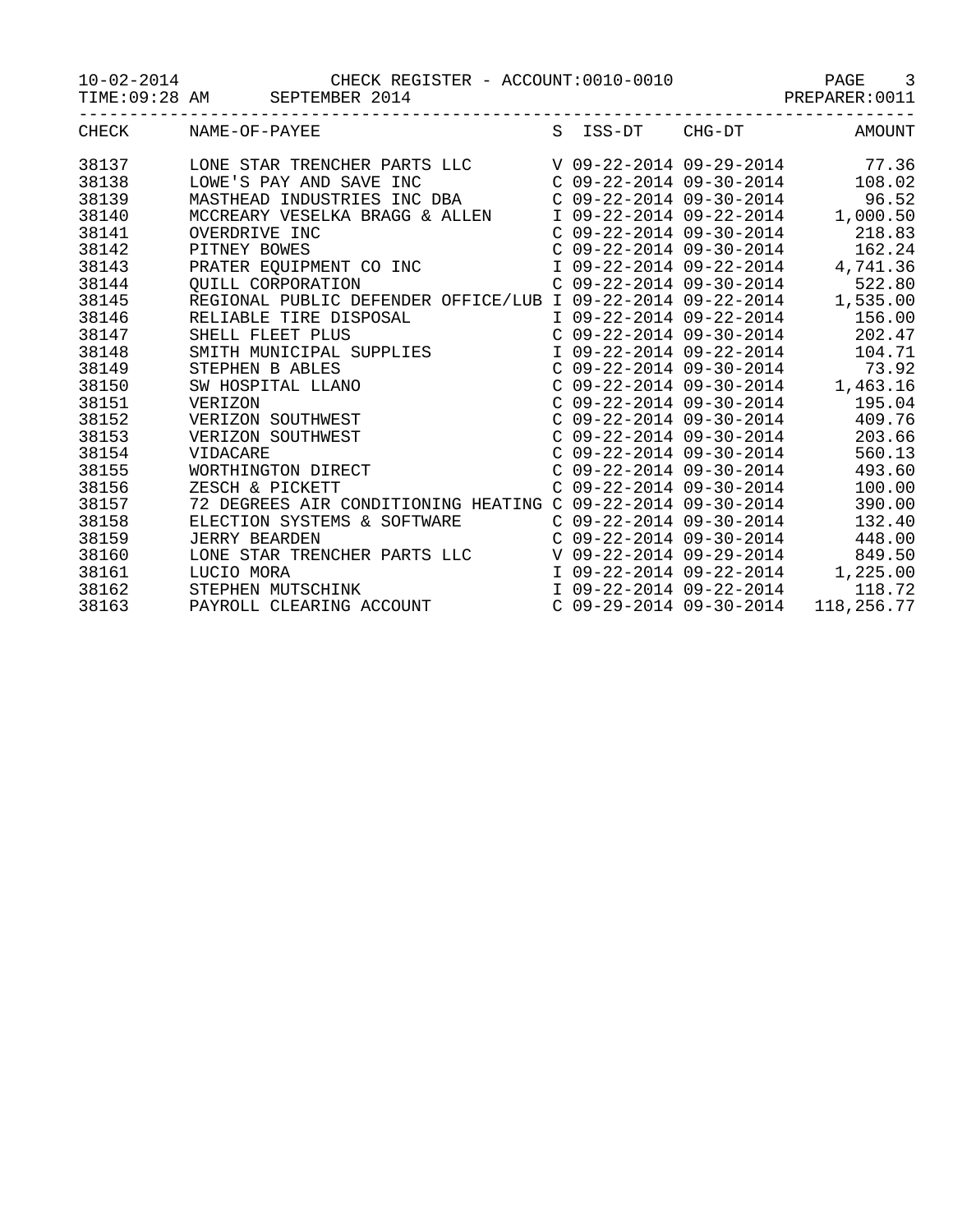10-02-2014 CHECK REGISTER - ACCOUNT:0010-0010 PAGE 3

TIME:09:28 AM SEPTEMBER 2014 CHARGE SERVICES SERVICES SERVICES SERVICES SERVICES SERVICES SERVICES SERVICES SE

|       | CHECK NAME-OF-PAYEE                                                                                                                                     |  | S ISS-DT CHG-DT AMOUNT           |            |
|-------|---------------------------------------------------------------------------------------------------------------------------------------------------------|--|----------------------------------|------------|
| 38137 |                                                                                                                                                         |  |                                  |            |
| 38138 | LOWE'S PAY AND SAVE INC                                                                                                                                 |  | $C$ 09-22-2014 09-30-2014        | 108.02     |
| 38139 |                                                                                                                                                         |  |                                  |            |
| 38140 | MCCREARY VESELKA BRAGG & ALLEN                                                                                                                          |  | I 09-22-2014 09-22-2014 1,000.50 |            |
| 38141 | OVERDRIVE INC                                                                                                                                           |  | C 09-22-2014 09-30-2014          | 218.83     |
| 38142 | PITNEY BOWES                                                                                                                                            |  | $C$ 09-22-2014 09-30-2014        | 162.24     |
| 38143 | PRATER EQUIPMENT CO INC<br>PRATER EQUIPMENT CO INC<br>I 09-22-2014 09-22-2014 4,741.36                                                                  |  |                                  |            |
| 38144 | QUILL CORPORATION                                                                                                                                       |  | $C$ 09-22-2014 09-30-2014        | 522.80     |
| 38145 | REGIONAL PUBLIC DEFENDER OFFICE/LUB I 09-22-2014 09-22-2014                                                                                             |  |                                  | 1,535.00   |
| 38146 | RELIABLE TIRE DISPOSAL                                                                                                                                  |  | I 09-22-2014 09-22-2014          | 156.00     |
| 38147 |                                                                                                                                                         |  | $C$ 09-22-2014 09-30-2014        | 202.47     |
| 38148 | SHELL FLEET PLUS<br>SMITH MUNICIPAL SUPPLIES                                                                                                            |  | I 09-22-2014 09-22-2014          | 104.71     |
| 38149 | SMITH MONICIPAL SOPPLIES<br>STEPHEN B ABLES<br>SW HOSPITAL LLANO<br>VERIZON<br>VERIZON SOUTHWEST<br>VERIZON SOUTHWEST<br>VIDACARE<br>WORTHINGTON DIRECT |  | C 09-22-2014 09-30-2014          | 73.92      |
| 38150 |                                                                                                                                                         |  | $C$ 09-22-2014 09-30-2014        | 1,463.16   |
| 38151 |                                                                                                                                                         |  | $C$ 09-22-2014 09-30-2014 195.04 |            |
| 38152 |                                                                                                                                                         |  | $C$ 09-22-2014 09-30-2014        | 409.76     |
| 38153 |                                                                                                                                                         |  | $C$ 09-22-2014 09-30-2014        | 203.66     |
| 38154 |                                                                                                                                                         |  | C 09-22-2014 09-30-2014          | 560.13     |
| 38155 |                                                                                                                                                         |  | $C$ 09-22-2014 09-30-2014        | 493.60     |
| 38156 | ZESCH & PICKETT                                                                                                                                         |  | C 09-22-2014 09-30-2014          | 100.00     |
| 38157 | 72 DEGREES AIR CONDITIONING HEATING C 09-22-2014 09-30-2014                                                                                             |  |                                  | 390.00     |
| 38158 | ELECTION SYSTEMS & SOFTWARE                                                                                                                             |  | C 09-22-2014 09-30-2014          | 132.40     |
| 38159 | <b>JERRY BEARDEN</b>                                                                                                                                    |  | $C$ 09-22-2014 09-30-2014        | 448.00     |
| 38160 | LONE STAR TRENCHER PARTS LLC                                                                                                                            |  | V 09-22-2014 09-29-2014          | 849.50     |
| 38161 | LUCIO MORA                                                                                                                                              |  | I 09-22-2014 09-22-2014          | 1,225.00   |
| 38162 | STEPHEN MUTSCHINK                                                                                                                                       |  | I 09-22-2014 09-22-2014          | 118.72     |
| 38163 | PAYROLL CLEARING ACCOUNT                                                                                                                                |  | $C$ 09-29-2014 09-30-2014        | 118,256.77 |
|       |                                                                                                                                                         |  |                                  |            |